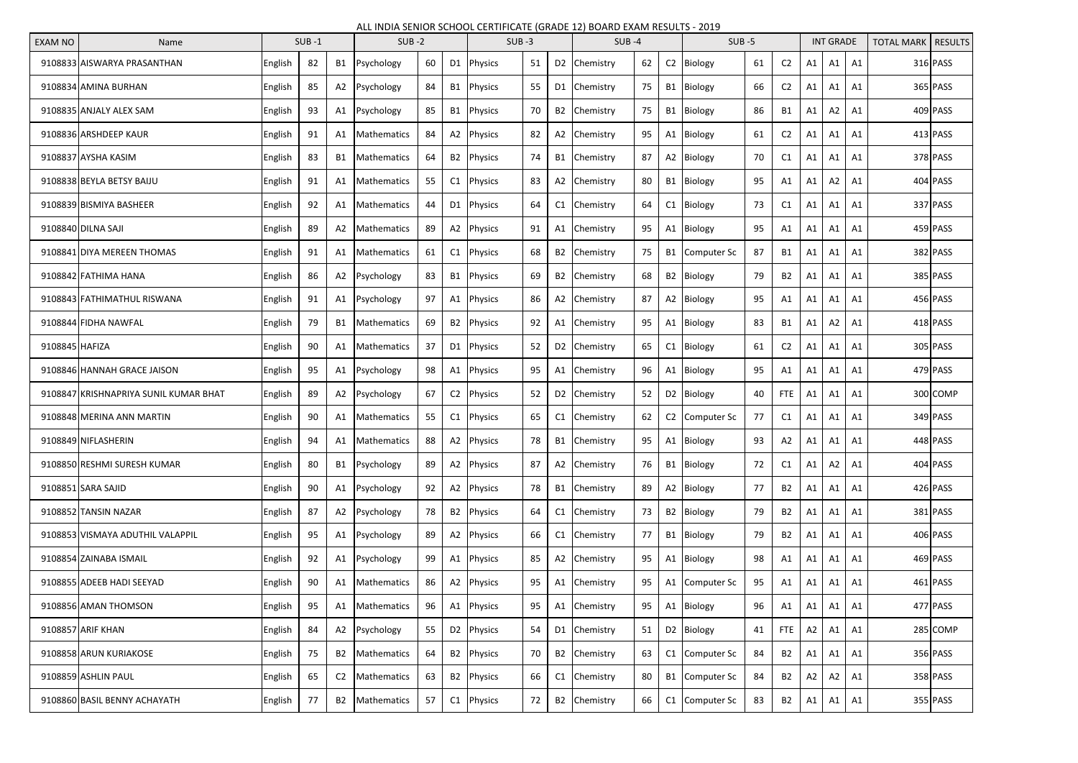## ALL INDIA SENIOR SCHOOL CERTIFICATE (GRADE 12) BOARD EXAM RESULTS - 2019

| <b>EXAM NO</b> | Name                                  | $SUB -1$       |    |                | $SUB -2$           |    |                | $SUB -3$               |    |  | $SUB -4$                 |    |    | $SUB -5$               |    |                | <b>INT GRADE</b> |                |                | <b>TOTAL MARK   RESULTS</b> |          |
|----------------|---------------------------------------|----------------|----|----------------|--------------------|----|----------------|------------------------|----|--|--------------------------|----|----|------------------------|----|----------------|------------------|----------------|----------------|-----------------------------|----------|
|                | 9108833 AISWARYA PRASANTHAN           | English        | 82 |                | B1 Psychology      | 60 |                | D1 Physics             | 51 |  | D <sub>2</sub> Chemistry | 62 |    | C2 Biology             | 61 | C <sub>2</sub> | A1               | A1             | A1             |                             | 316 PASS |
|                | 9108834 AMINA BURHAN                  | <b>English</b> | 85 | A2             | Psychology         | 84 | <b>B1</b>      | Physics                | 55 |  | D1 Chemistry             | 75 |    | B1 Biology             | 66 | C <sub>2</sub> | A <sub>1</sub>   | A1             | A1             |                             | 365 PASS |
|                | 9108835 ANJALY ALEX SAM               | English        | 93 | A1             | Psychology         | 85 | <b>B1</b>      | <b>Physics</b>         | 70 |  | B2 Chemistry             | 75 |    | B1 Biology             | 86 | <b>B1</b>      | A1               | A2             | A1             |                             | 409 PASS |
|                | 9108836 ARSHDEEP KAUR                 | English        | 91 | A1             | <b>Mathematics</b> | 84 |                | A2 Physics             | 82 |  | A2 Chemistry             | 95 |    | A1 Biology             | 61 | C <sub>2</sub> | A1               | A1             | A1             |                             | 413 PASS |
|                | 9108837 AYSHA KASIM                   | English        | 83 | B1             | Mathematics        | 64 | <b>B2</b>      | Physics                | 74 |  | B1 Chemistry             | 87 |    | A2 Biology             | 70 | C1             | A <sub>1</sub>   | A1             | A1             |                             | 378 PASS |
|                | 9108838 BEYLA BETSY BAIJU             | English        | 91 | A1             | Mathematics        | 55 | C <sub>1</sub> | <b>Physics</b>         | 83 |  | A2 Chemistry             | 80 |    | B1 Biology             | 95 | A1             | A1               | A2             | A <sub>1</sub> |                             | 404 PASS |
|                | 9108839 BISMIYA BASHEER               | <b>English</b> | 92 | A1             | Mathematics        | 44 |                | D1 Physics             | 64 |  | C1 Chemistry             | 64 |    | C1 Biology             | 73 | C1             | A1               | A1             | A1             |                             | 337 PASS |
|                | 9108840 DILNA SAJI                    | English        | 89 | A2             | Mathematics        | 89 | A2             | Physics                | 91 |  | A1 Chemistry             | 95 |    | A1 Biology             | 95 | A1             | A1               | Α1             | A <sub>1</sub> |                             | 459 PASS |
|                | 9108841 DIYA MEREEN THOMAS            | English        | 91 | A1             | Mathematics        | 61 | C <sub>1</sub> | <b>Physics</b>         | 68 |  | B2 Chemistry             | 75 |    | B1 Computer Sc         | 87 | <b>B1</b>      | A1               | Α1             | A <sub>1</sub> |                             | 382 PASS |
|                | 9108842 FATHIMA HANA                  | <b>English</b> | 86 | A2             | Psychology         | 83 | <b>B1</b>      | Physics                | 69 |  | B2 Chemistry             | 68 |    | B2 Biology             | 79 | <b>B2</b>      | A1               | A1             | A1             |                             | 385 PASS |
|                | 9108843 FATHIMATHUL RISWANA           | <b>English</b> | 91 | A1             | Psychology         | 97 | A1             | Physics                | 86 |  | A2 Chemistry             | 87 |    | A2 Biology             | 95 | A1             | A1               | A1             | A <sub>1</sub> |                             | 456 PASS |
|                | 9108844 FIDHA NAWFAL                  | English        | 79 | <b>B1</b>      | Mathematics        | 69 | <b>B2</b>      | Physics                | 92 |  | A1 Chemistry             | 95 | Α1 | Biology                | 83 | <b>B1</b>      | A1               | A2             | A <sub>1</sub> |                             | 418 PASS |
| 9108845 HAFIZA |                                       | <b>English</b> | 90 | A1             | Mathematics        | 37 |                | D1 Physics             | 52 |  | D2 Chemistry             | 65 |    | C1 Biology             | 61 | C <sub>2</sub> | A1               | A1             | A1             |                             | 305 PASS |
|                | 9108846 HANNAH GRACE JAISON           | English        | 95 | A1             | Psychology         | 98 | A1             | Physics                | 95 |  | A1 Chemistry             | 96 |    | A1 Biology             | 95 | A1             | A1               | Α1             | A1             |                             | 479 PASS |
|                | 9108847 KRISHNAPRIYA SUNIL KUMAR BHAT | English        | 89 | A2             | Psychology         | 67 | C <sub>2</sub> | Physics                | 52 |  | D2 Chemistry             | 52 |    | D2 Biology             | 40 | <b>FTE</b>     | A1               | A1             | A1             |                             | 300 COMP |
|                | 9108848 MERINA ANN MARTIN             | English        | 90 | A1             | Mathematics        | 55 | C1             | <b>Physics</b>         | 65 |  | C1 Chemistry             | 62 |    | C2 Computer Sc         | 77 | C1             | A1               | A1             | A1             |                             | 349 PASS |
|                | 9108849 NIFLASHERIN                   | English        | 94 |                | Mathematics        |    |                | A2 Physics             | 78 |  | B1 Chemistry             | 95 |    | A1 Biology             |    | A2             |                  | $A1$ $A1$ $A1$ |                |                             | 448 PASS |
|                | 9108850 RESHMI SURESH KUMAR           | English        | 80 | <b>B1</b>      | Psychology         | 89 |                | A2 Physics             | 87 |  | A2 Chemistry             | 76 |    | B1 Biology             | 72 | C1             | A1               | A2             | A1             |                             | 404 PASS |
|                | 9108851 SARA SAJID                    | English        | 90 |                | A1 Psychology      | 92 |                | A2 Physics             | 78 |  | B1 Chemistry             | 89 |    | A2 Biology             | 77 | <b>B2</b>      | A1               | A1             | A1             |                             | 426 PASS |
|                | 9108852 TANSIN NAZAR                  | English        | 87 | A2             | Psychology         | 78 |                | B2 Physics             | 64 |  | C1 Chemistry             | 73 |    | B2 Biology             | 79 | <b>B2</b>      | A1               | A1             | A1             |                             | 381 PASS |
|                | 9108853 VISMAYA ADUTHIL VALAPPIL      | English        | 95 | A1             | Psychology         | 89 |                | A2 Physics             | 66 |  | C1 Chemistry             | 77 |    | B1 Biology             | 79 | <b>B2</b>      | A1               | A1             | A1             |                             | 406 PASS |
|                | 9108854 ZAINABA ISMAIL                | English        | 92 | A1             | Psychology         | 99 |                | A1 Physics             | 85 |  | A2 Chemistry             | 95 |    | A1 Biology             | 98 | A1             | A1               | A1             | A1             |                             | 469 PASS |
|                | 9108855 ADEEB HADI SEEYAD             | English        | 90 | A1             | Mathematics        | 86 |                | A2 Physics             | 95 |  | A1 Chemistry             | 95 |    | A1 Computer Sc         | 95 | A1             | A1               | A1             | A1             |                             | 461 PASS |
|                | 9108856 AMAN THOMSON                  | English        | 95 | A1             | Mathematics        | 96 |                | A1 Physics             | 95 |  | A1 Chemistry             | 95 |    | A1 Biology             | 96 | A1             | A1               | A1             | A1             |                             | 477 PASS |
|                | 9108857 ARIF KHAN                     | English        | 84 | A2             | Psychology         | 55 |                | D <sub>2</sub> Physics | 54 |  | D1 Chemistry             | 51 |    | D <sub>2</sub> Biology | 41 | <b>FTE</b>     | A2               | A1             | A1             |                             | 285 COMP |
|                | 9108858 ARUN KURIAKOSE                | English        | 75 | <b>B2</b>      | Mathematics        | 64 |                | B2 Physics             | 70 |  | B2 Chemistry             | 63 |    | C1 Computer Sc         | 84 | <b>B2</b>      | A1               | A1             | A1             |                             | 356 PASS |
|                | 9108859 ASHLIN PAUL                   | English        | 65 | C <sub>2</sub> | Mathematics        | 63 |                | B2 Physics             | 66 |  | C1 Chemistry             | 80 |    | B1 Computer Sc         | 84 | <b>B2</b>      | A2               | A2             | A1             |                             | 358 PASS |
|                | 9108860 BASIL BENNY ACHAYATH          | English        | 77 | <b>B2</b>      | Mathematics        | 57 |                | $C1$ Physics           | 72 |  | B2 Chemistry             | 66 |    | C1 Computer Sc         | 83 | <b>B2</b>      | A1               | A1             | A1             |                             | 355 PASS |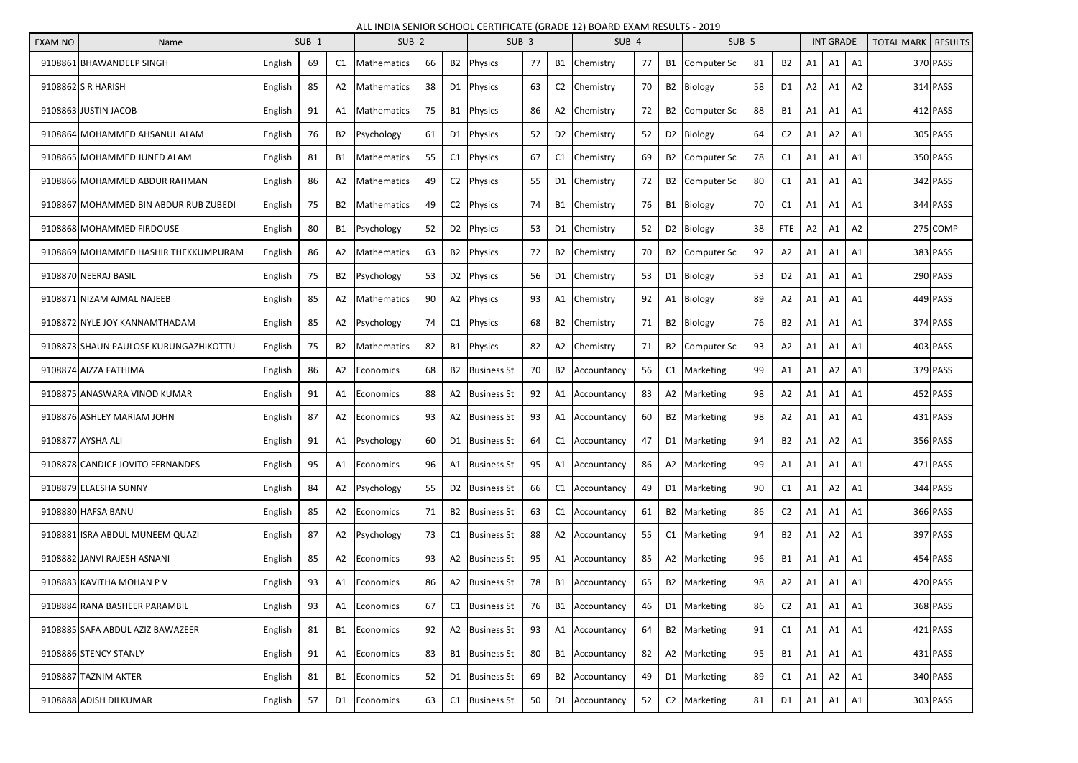## ALL INDIA SENIOR SCHOOL CERTIFICATE (GRADE 12) BOARD EXAM RESULTS - 2019

| <b>EXAM NO</b> | Name                                  | $SUB -1$ |    |                | $SUB -2$           |    |                | $SUB -3$                   |    |    | $SUB -4$                 |    |                | $SUB -5$       |    |                | <b>INT GRADE</b> |      |      | <b>TOTAL MARK</b> | <b>RESULTS</b> |
|----------------|---------------------------------------|----------|----|----------------|--------------------|----|----------------|----------------------------|----|----|--------------------------|----|----------------|----------------|----|----------------|------------------|------|------|-------------------|----------------|
|                | 9108861 BHAWANDEEP SINGH              | English  | 69 | C1             | <b>Mathematics</b> | 66 | <b>B2</b>      | Physics                    | 77 |    | B1 Chemistry             | 77 |                | B1 Computer Sc | 81 | <b>B2</b>      | A1               | A1   | A1   |                   | 370 PASS       |
|                | 9108862 S R HARISH                    | English  | 85 | A2             | Mathematics        | 38 | D1             | Physics                    | 63 | C2 | Chemistry                | 70 | B <sub>2</sub> | Biology        | 58 | D1             | А2               | Α1   | A2   |                   | 314 PASS       |
|                | 9108863 JUSTIN JACOB                  | English  | 91 | A1             | <b>Mathematics</b> | 75 | <b>B1</b>      | Physics                    | 86 |    | A2 Chemistry             | 72 | B <sub>2</sub> | Computer Sc    | 88 | <b>B1</b>      | Α1               | Α1   | A1   |                   | 412 PASS       |
|                | 9108864 MOHAMMED AHSANUL ALAM         | English  | 76 | B <sub>2</sub> | Psychology         | 61 | D <sub>1</sub> | <b>Physics</b>             | 52 |    | D <sub>2</sub> Chemistry | 52 |                | D2 Biology     | 64 | C <sub>2</sub> | A1               | A2.  | A1   |                   | 305 PASS       |
|                | 9108865 MOHAMMED JUNED ALAM           | English  | 81 | B1             | Mathematics        | 55 | C1             | Physics                    | 67 |    | C1 Chemistry             | 69 | B2             | Computer Sc    | 78 | C <sub>1</sub> | A <sub>1</sub>   | Α1   | A1   |                   | 350 PASS       |
|                | 9108866 MOHAMMED ABDUR RAHMAN         | English  | 86 | A <sub>2</sub> | <b>Mathematics</b> | 49 | C <sub>2</sub> | Physics                    | 55 |    | D1 Chemistry             | 72 | <b>B2</b>      | Computer Sc    | 80 | C <sub>1</sub> | A1               | Α1   | A1   |                   | 342 PASS       |
|                | 9108867 MOHAMMED BIN ABDUR RUB ZUBEDI | English  | 75 | B2             | <b>Mathematics</b> | 49 | C <sub>2</sub> | <b>Physics</b>             | 74 |    | B1 Chemistry             | 76 | <b>B1</b>      | Biology        | 70 | C1             | A1               | Α1   | A1   |                   | 344 PASS       |
|                | 9108868 MOHAMMED FIRDOUSE             | English  | 80 | B1             | Psychology         | 52 | D <sub>2</sub> | Physics                    | 53 | D1 | Chemistry                | 52 | D <sub>2</sub> | Biology        | 38 | FTE            | А2               | Α1   | A2   |                   | 275 COMP       |
|                | 9108869 MOHAMMED HASHIR THEKKUMPURAM  | English  | 86 | A <sub>2</sub> | Mathematics        | 63 | <b>B2</b>      | Physics                    | 72 | B2 | Chemistry                | 70 | B <sub>2</sub> | Computer Sc    | 92 | A2             | Α1               | Α1   | A1   |                   | 383 PASS       |
|                | 9108870 NEERAJ BASIL                  | English  | 75 | B2             | Psychology         | 53 | D <sub>2</sub> | Physics                    | 56 | D1 | <b>Chemistry</b>         | 53 | D <sub>1</sub> | Biology        | 53 | D <sub>2</sub> | A1               | A1   | - A1 |                   | 290 PASS       |
|                | 9108871 NIZAM AJMAL NAJEEB            | English  | 85 | A2             | Mathematics        | 90 | A2             | Physics                    | 93 |    | A1 Chemistry             | 92 | A1             | Biology        | 89 | A2             | A <sub>1</sub>   | Α1   | A1   |                   | 449 PASS       |
|                | 9108872 NYLE JOY KANNAMTHADAM         | English  | 85 | A2             | Psychology         | 74 | C <sub>1</sub> | <b>Physics</b>             | 68 |    | B2 Chemistry             | 71 | <b>B2</b>      | Biology        | 76 | <b>B2</b>      | Α1               | Α1   | Α1   |                   | 374 PASS       |
|                | 9108873 SHAUN PAULOSE KURUNGAZHIKOTTU | English  | 75 | B <sub>2</sub> | Mathematics        | 82 | <b>B1</b>      | Physics                    | 82 |    | A2 Chemistry             | 71 | <b>B2</b>      | Computer Sc    | 93 | A2             | A1               | A1   | A1   |                   | 403 PASS       |
|                | 9108874 AIZZA FATHIMA                 | English  | 86 | A2             | <b>Economics</b>   | 68 | <b>B2</b>      | <b>Business St</b>         | 70 | B2 | Accountancy              | 56 | C1             | Marketing      | 99 | A1             | Α1               | А2   | A1   |                   | 379 PASS       |
|                | 9108875 ANASWARA VINOD KUMAR          | English  | 91 | A1             | <b>Economics</b>   | 88 | A2             | <b>Business St</b>         | 92 |    | A1 Accountancy           | 83 |                | A2 Marketing   | 98 | A2             | A1               | Α1   | A1   |                   | 452 PASS       |
|                | 9108876 ASHLEY MARIAM JOHN            | English  | 87 | A2             | <b>Economics</b>   | 93 |                | A2 Business St             | 93 |    | A1 Accountancy           | 60 |                | B2 Marketing   | 98 | A2             | A1               | A1   | A1   |                   | 431 PASS       |
|                | 9108877 AYSHA ALI                     | English  | 91 |                | A1 Psychology      | 60 |                | D1 Business St             | 64 |    | C1 Accountancy           | 47 |                | D1 Marketing   | 94 | B2             | A1               | A2 I | A1   |                   | 356 PASS       |
|                | 9108878 CANDICE JOVITO FERNANDES      | English  | 95 | A1             | Economics          | 96 | A1             | <b>Business St</b>         | 95 |    | A1 Accountancy           | 86 |                | A2 Marketing   | 99 | A1             | A1               | A1   | A1   |                   | 471 PASS       |
|                | 9108879 ELAESHA SUNNY                 | English  | 84 | A2             | Psychology         | 55 |                | D <sub>2</sub> Business St | 66 |    | C1 Accountancy           | 49 |                | D1 Marketing   | 90 | C1             | A1               | A2   | A1   |                   | 344 PASS       |
|                | 9108880 HAFSA BANU                    | English  | 85 | A2             | Economics          | 71 |                | B <sub>2</sub> Business St | 63 |    | C1 Accountancy           | 61 |                | B2 Marketing   | 86 | C <sub>2</sub> | Α1               | A1   | A1   |                   | 366 PASS       |
|                | 9108881 ISRA ABDUL MUNEEM QUAZI       | English  | 87 | A2             | Psychology         | 73 | C1             | <b>Business St</b>         | 88 |    | A2 Accountancy           | 55 |                | C1 Marketing   | 94 | <b>B2</b>      | A1               | A2   | A1   |                   | 397 PASS       |
|                | 9108882 JANVI RAJESH ASNANI           | English  | 85 | A2             | Economics          | 93 |                | A2 Business St             | 95 |    | A1 Accountancy           | 85 |                | A2 Marketing   | 96 | <b>B1</b>      | A1               | A1   | A1   |                   | 454 PASS       |
|                | 9108883 KAVITHA MOHAN P V             | English  | 93 | A1             | Economics          | 86 |                | A2 Business St             | 78 |    | B1 Accountancy           | 65 |                | B2 Marketing   | 98 | A2             | A1               | A1   | A1   |                   | 420 PASS       |
|                | 9108884 RANA BASHEER PARAMBIL         | English  | 93 | A1             | Economics          | 67 | C1             | <b>Business St</b>         | 76 |    | B1 Accountancy           | 46 |                | D1 Marketing   | 86 | C <sub>2</sub> | A1               | Α1   | A1   |                   | 368 PASS       |
|                | 9108885 SAFA ABDUL AZIZ BAWAZEER      | English  | 81 | <b>B1</b>      | Economics          | 92 |                | A2 Business St             | 93 |    | A1 Accountancy           | 64 |                | B2 Marketing   | 91 | C1             | A1               | A1   | A1   |                   | 421 PASS       |
|                | 9108886 STENCY STANLY                 | English  | 91 | A1             | <b>Economics</b>   | 83 |                | B1 Business St             | 80 |    | B1 Accountancy           | 82 |                | A2 Marketing   | 95 | <b>B1</b>      | Α1               | A1   | A1   |                   | 431 PASS       |
|                | 9108887 TAZNIM AKTER                  | English  | 81 | <b>B1</b>      | Economics          | 52 | D <sub>1</sub> | <b>Business St</b>         | 69 |    | B2 Accountancy           | 49 |                | D1 Marketing   | 89 | C1             | A1               | A2   | A1   |                   | 340 PASS       |
|                | 9108888 ADISH DILKUMAR                | English  | 57 | D1             | Economics          | 63 | C1             | <b>Business St</b>         | 50 |    | D1 Accountancy           | 52 |                | C2 Marketing   | 81 | D1             | A1               | A1   | A1   |                   | 303 PASS       |